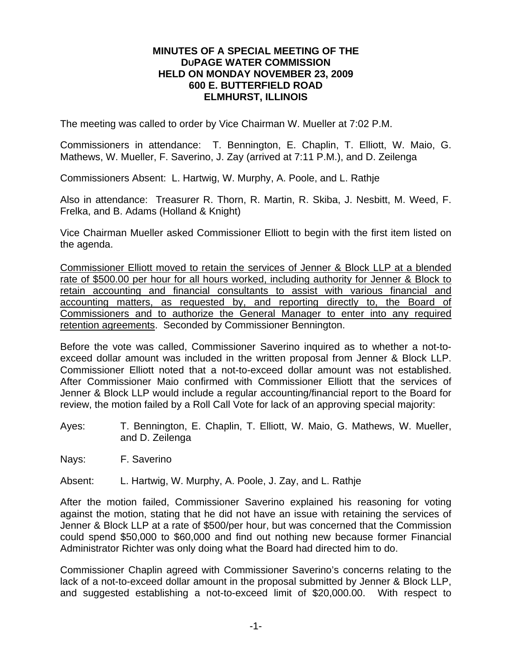## **MINUTES OF A SPECIAL MEETING OF THE DUPAGE WATER COMMISSION HELD ON MONDAY NOVEMBER 23, 2009 600 E. BUTTERFIELD ROAD ELMHURST, ILLINOIS**

The meeting was called to order by Vice Chairman W. Mueller at 7:02 P.M.

Commissioners in attendance: T. Bennington, E. Chaplin, T. Elliott, W. Maio, G. Mathews, W. Mueller, F. Saverino, J. Zay (arrived at 7:11 P.M.), and D. Zeilenga

Commissioners Absent: L. Hartwig, W. Murphy, A. Poole, and L. Rathje

Also in attendance: Treasurer R. Thorn, R. Martin, R. Skiba, J. Nesbitt, M. Weed, F. Frelka, and B. Adams (Holland & Knight)

Vice Chairman Mueller asked Commissioner Elliott to begin with the first item listed on the agenda.

Commissioner Elliott moved to retain the services of Jenner & Block LLP at a blended rate of \$500.00 per hour for all hours worked, including authority for Jenner & Block to retain accounting and financial consultants to assist with various financial and accounting matters, as requested by, and reporting directly to, the Board of Commissioners and to authorize the General Manager to enter into any required retention agreements. Seconded by Commissioner Bennington.

Before the vote was called, Commissioner Saverino inquired as to whether a not-toexceed dollar amount was included in the written proposal from Jenner & Block LLP. Commissioner Elliott noted that a not-to-exceed dollar amount was not established. After Commissioner Maio confirmed with Commissioner Elliott that the services of Jenner & Block LLP would include a regular accounting/financial report to the Board for review, the motion failed by a Roll Call Vote for lack of an approving special majority:

Ayes: T. Bennington, E. Chaplin, T. Elliott, W. Maio, G. Mathews, W. Mueller, and D. Zeilenga

Nays: F. Saverino

Absent: L. Hartwig, W. Murphy, A. Poole, J. Zay, and L. Rathje

After the motion failed, Commissioner Saverino explained his reasoning for voting against the motion, stating that he did not have an issue with retaining the services of Jenner & Block LLP at a rate of \$500/per hour, but was concerned that the Commission could spend \$50,000 to \$60,000 and find out nothing new because former Financial Administrator Richter was only doing what the Board had directed him to do.

Commissioner Chaplin agreed with Commissioner Saverino's concerns relating to the lack of a not-to-exceed dollar amount in the proposal submitted by Jenner & Block LLP, and suggested establishing a not-to-exceed limit of \$20,000.00. With respect to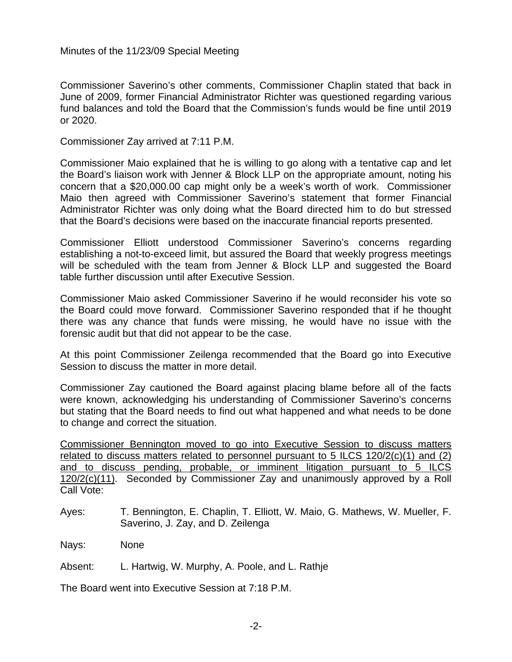Minutes of the 11/23/09 Special Meeting

Commissioner Saverino's other comments, Commissioner Chaplin stated that back in June of 2009, former Financial Administrator Richter was questioned regarding various fund balances and told the Board that the Commission's funds would be fine until 2019 or 2020.

Commissioner Zay arrived at 7:11 P.M.

Commissioner Maio explained that he is willing to go along with a tentative cap and let the Board's liaison work with Jenner & Block LLP on the appropriate amount, noting his concern that a \$20,000.00 cap might only be a week's worth of work. Commissioner Maio then agreed with Commissioner Saverino's statement that former Financial Administrator Richter was only doing what the Board directed him to do but stressed that the Board's decisions were based on the inaccurate financial reports presented.

Commissioner Elliott understood Commissioner Saverino's concerns regarding establishing a not-to-exceed limit, but assured the Board that weekly progress meetings will be scheduled with the team from Jenner & Block LLP and suggested the Board table further discussion until after Executive Session.

Commissioner Maio asked Commissioner Saverino if he would reconsider his vote so the Board could move forward. Commissioner Saverino responded that if he thought there was any chance that funds were missing, he would have no issue with the forensic audit but that did not appear to be the case.

At this point Commissioner Zeilenga recommended that the Board go into Executive Session to discuss the matter in more detail.

Commissioner Zay cautioned the Board against placing blame before all of the facts were known, acknowledging his understanding of Commissioner Saverino's concerns but stating that the Board needs to find out what happened and what needs to be done to change and correct the situation.

Commissioner Bennington moved to go into Executive Session to discuss matters related to discuss matters related to personnel pursuant to 5 ILCS 120/2(c)(1) and (2) and to discuss pending, probable, or imminent litigation pursuant to 5 ILCS 120/2(c)(11). Seconded by Commissioner Zay and unanimously approved by a Roll Call Vote:

Ayes: T. Bennington, E. Chaplin, T. Elliott, W. Maio, G. Mathews, W. Mueller, F. Saverino, J. Zay, and D. Zeilenga

Nays: None

Absent: L. Hartwig, W. Murphy, A. Poole, and L. Rathje

The Board went into Executive Session at 7:18 P.M.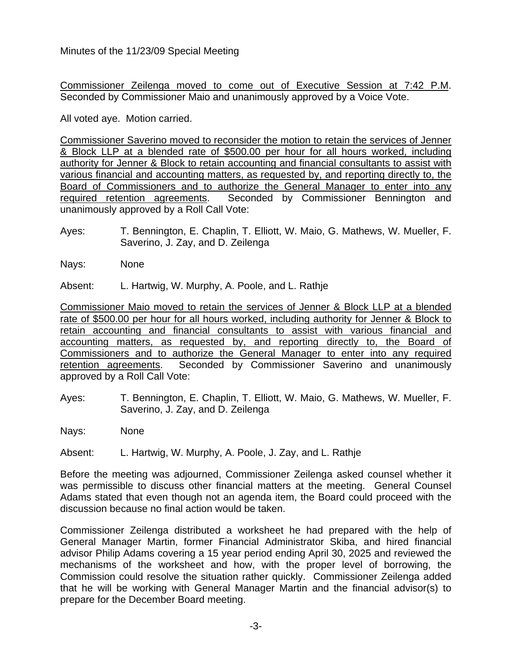Minutes of the 11/23/09 Special Meeting

Commissioner Zeilenga moved to come out of Executive Session at 7:42 P.M. Seconded by Commissioner Maio and unanimously approved by a Voice Vote.

All voted aye. Motion carried.

Commissioner Saverino moved to reconsider the motion to retain the services of Jenner & Block LLP at a blended rate of \$500.00 per hour for all hours worked, including authority for Jenner & Block to retain accounting and financial consultants to assist with various financial and accounting matters, as requested by, and reporting directly to, the Board of Commissioners and to authorize the General Manager to enter into any required retention agreements. Seconded by Commissioner Bennington and unanimously approved by a Roll Call Vote:

- Ayes: T. Bennington, E. Chaplin, T. Elliott, W. Maio, G. Mathews, W. Mueller, F. Saverino, J. Zay, and D. Zeilenga
- Nays: None

Absent: L. Hartwig, W. Murphy, A. Poole, and L. Rathje

Commissioner Maio moved to retain the services of Jenner & Block LLP at a blended rate of \$500.00 per hour for all hours worked, including authority for Jenner & Block to retain accounting and financial consultants to assist with various financial and accounting matters, as requested by, and reporting directly to, the Board of Commissioners and to authorize the General Manager to enter into any required retention agreements. Seconded by Commissioner Saverino and unanimously approved by a Roll Call Vote:

- Ayes: T. Bennington, E. Chaplin, T. Elliott, W. Maio, G. Mathews, W. Mueller, F. Saverino, J. Zay, and D. Zeilenga
- Nays: None

Absent: L. Hartwig, W. Murphy, A. Poole, J. Zay, and L. Rathje

Before the meeting was adjourned, Commissioner Zeilenga asked counsel whether it was permissible to discuss other financial matters at the meeting. General Counsel Adams stated that even though not an agenda item, the Board could proceed with the discussion because no final action would be taken.

Commissioner Zeilenga distributed a worksheet he had prepared with the help of General Manager Martin, former Financial Administrator Skiba, and hired financial advisor Philip Adams covering a 15 year period ending April 30, 2025 and reviewed the mechanisms of the worksheet and how, with the proper level of borrowing, the Commission could resolve the situation rather quickly. Commissioner Zeilenga added that he will be working with General Manager Martin and the financial advisor(s) to prepare for the December Board meeting.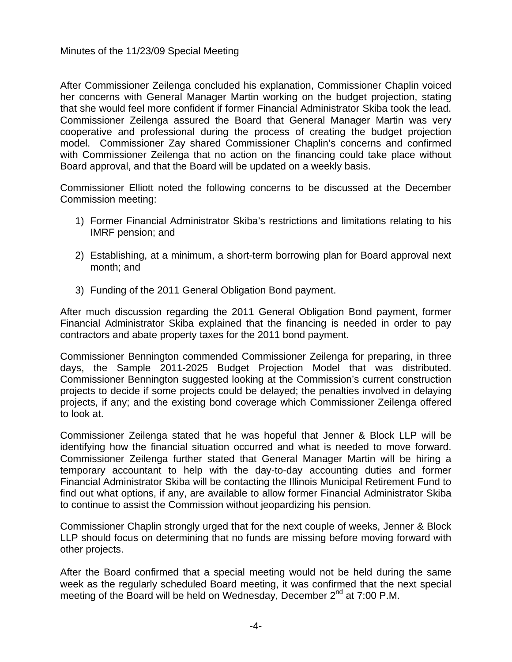After Commissioner Zeilenga concluded his explanation, Commissioner Chaplin voiced her concerns with General Manager Martin working on the budget projection, stating that she would feel more confident if former Financial Administrator Skiba took the lead. Commissioner Zeilenga assured the Board that General Manager Martin was very cooperative and professional during the process of creating the budget projection model. Commissioner Zay shared Commissioner Chaplin's concerns and confirmed with Commissioner Zeilenga that no action on the financing could take place without Board approval, and that the Board will be updated on a weekly basis.

Commissioner Elliott noted the following concerns to be discussed at the December Commission meeting:

- 1) Former Financial Administrator Skiba's restrictions and limitations relating to his IMRF pension; and
- 2) Establishing, at a minimum, a short-term borrowing plan for Board approval next month; and
- 3) Funding of the 2011 General Obligation Bond payment.

After much discussion regarding the 2011 General Obligation Bond payment, former Financial Administrator Skiba explained that the financing is needed in order to pay contractors and abate property taxes for the 2011 bond payment.

Commissioner Bennington commended Commissioner Zeilenga for preparing, in three days, the Sample 2011-2025 Budget Projection Model that was distributed. Commissioner Bennington suggested looking at the Commission's current construction projects to decide if some projects could be delayed; the penalties involved in delaying projects, if any; and the existing bond coverage which Commissioner Zeilenga offered to look at.

Commissioner Zeilenga stated that he was hopeful that Jenner & Block LLP will be identifying how the financial situation occurred and what is needed to move forward. Commissioner Zeilenga further stated that General Manager Martin will be hiring a temporary accountant to help with the day-to-day accounting duties and former Financial Administrator Skiba will be contacting the Illinois Municipal Retirement Fund to find out what options, if any, are available to allow former Financial Administrator Skiba to continue to assist the Commission without jeopardizing his pension.

Commissioner Chaplin strongly urged that for the next couple of weeks, Jenner & Block LLP should focus on determining that no funds are missing before moving forward with other projects.

After the Board confirmed that a special meeting would not be held during the same week as the regularly scheduled Board meeting, it was confirmed that the next special meeting of the Board will be held on Wednesday, December  $2^{nd}$  at 7:00 P.M.